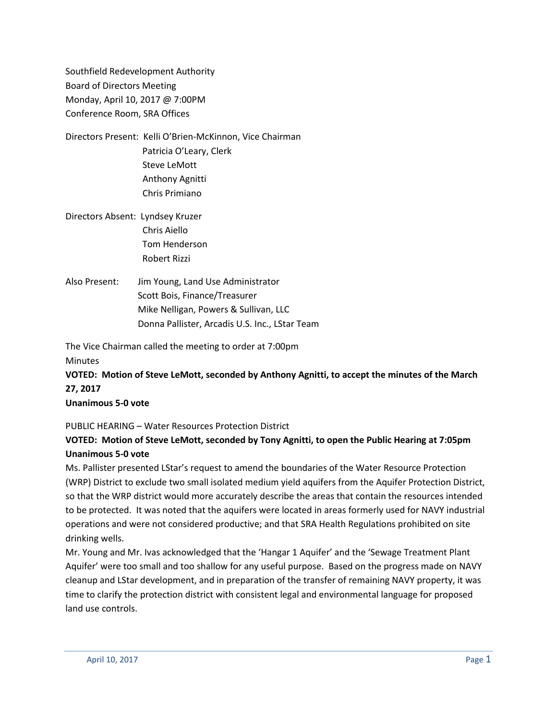Southfield Redevelopment Authority Board of Directors Meeting Monday, April 10, 2017 @ 7:00PM Conference Room, SRA Offices

Directors Present: Kelli O'Brien-McKinnon, Vice Chairman Patricia O'Leary, Clerk Steve LeMott Anthony Agnitti Chris Primiano

Directors Absent: Lyndsey Kruzer Chris Aiello Tom Henderson Robert Rizzi

Also Present: Jim Young, Land Use Administrator Scott Bois, Finance/Treasurer Mike Nelligan, Powers & Sullivan, LLC Donna Pallister, Arcadis U.S. Inc., LStar Team

The Vice Chairman called the meeting to order at 7:00pm

Minutes

**VOTED: Motion of Steve LeMott, seconded by Anthony Agnitti, to accept the minutes of the March 27, 2017**

**Unanimous 5-0 vote**

PUBLIC HEARING – Water Resources Protection District

## **VOTED: Motion of Steve LeMott, seconded by Tony Agnitti, to open the Public Hearing at 7:05pm Unanimous 5-0 vote**

Ms. Pallister presented LStar's request to amend the boundaries of the Water Resource Protection (WRP) District to exclude two small isolated medium yield aquifers from the Aquifer Protection District, so that the WRP district would more accurately describe the areas that contain the resources intended to be protected. It was noted that the aquifers were located in areas formerly used for NAVY industrial operations and were not considered productive; and that SRA Health Regulations prohibited on site drinking wells.

Mr. Young and Mr. Ivas acknowledged that the 'Hangar 1 Aquifer' and the 'Sewage Treatment Plant Aquifer' were too small and too shallow for any useful purpose. Based on the progress made on NAVY cleanup and LStar development, and in preparation of the transfer of remaining NAVY property, it was time to clarify the protection district with consistent legal and environmental language for proposed land use controls.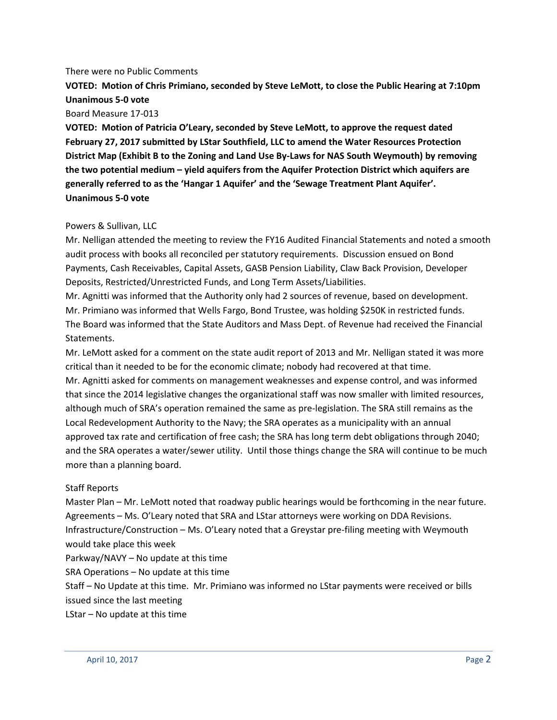#### There were no Public Comments

**VOTED: Motion of Chris Primiano, seconded by Steve LeMott, to close the Public Hearing at 7:10pm Unanimous 5-0 vote**

Board Measure 17-013

**VOTED: Motion of Patricia O'Leary, seconded by Steve LeMott, to approve the request dated February 27, 2017 submitted by LStar Southfield, LLC to amend the Water Resources Protection District Map (Exhibit B to the Zoning and Land Use By-Laws for NAS South Weymouth) by removing the two potential medium – yield aquifers from the Aquifer Protection District which aquifers are generally referred to as the 'Hangar 1 Aquifer' and the 'Sewage Treatment Plant Aquifer'. Unanimous 5-0 vote**

#### Powers & Sullivan, LLC

Mr. Nelligan attended the meeting to review the FY16 Audited Financial Statements and noted a smooth audit process with books all reconciled per statutory requirements. Discussion ensued on Bond Payments, Cash Receivables, Capital Assets, GASB Pension Liability, Claw Back Provision, Developer Deposits, Restricted/Unrestricted Funds, and Long Term Assets/Liabilities.

Mr. Agnitti was informed that the Authority only had 2 sources of revenue, based on development. Mr. Primiano was informed that Wells Fargo, Bond Trustee, was holding \$250K in restricted funds. The Board was informed that the State Auditors and Mass Dept. of Revenue had received the Financial Statements.

Mr. LeMott asked for a comment on the state audit report of 2013 and Mr. Nelligan stated it was more critical than it needed to be for the economic climate; nobody had recovered at that time. Mr. Agnitti asked for comments on management weaknesses and expense control, and was informed that since the 2014 legislative changes the organizational staff was now smaller with limited resources, although much of SRA's operation remained the same as pre-legislation. The SRA still remains as the Local Redevelopment Authority to the Navy; the SRA operates as a municipality with an annual approved tax rate and certification of free cash; the SRA has long term debt obligations through 2040; and the SRA operates a water/sewer utility. Until those things change the SRA will continue to be much more than a planning board.

### Staff Reports

Master Plan – Mr. LeMott noted that roadway public hearings would be forthcoming in the near future. Agreements – Ms. O'Leary noted that SRA and LStar attorneys were working on DDA Revisions. Infrastructure/Construction – Ms. O'Leary noted that a Greystar pre-filing meeting with Weymouth would take place this week

Parkway/NAVY – No update at this time

SRA Operations – No update at this time

Staff – No Update at this time. Mr. Primiano was informed no LStar payments were received or bills issued since the last meeting

LStar – No update at this time